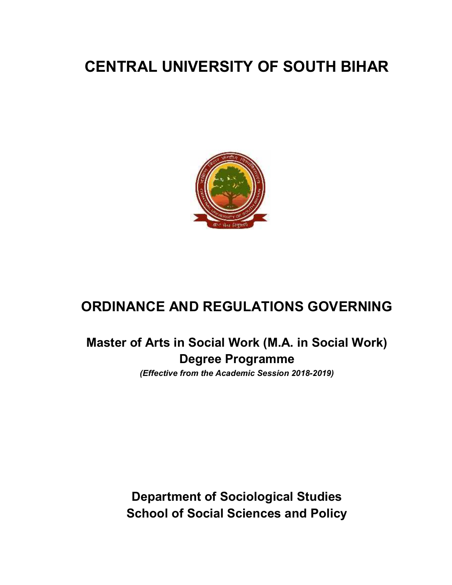# **CENTRAL UNIVERSITY OF SOUTH BIHAR**



## **ORDINANCE AND REGULATIONS GOVERNING**

## **Master of Arts in Social Work (M.A. in Social Work) Degree Programme**

*(Effective from the Academic Session 2018-2019)* 

**Department of Sociological Studies School of Social Sciences and Policy**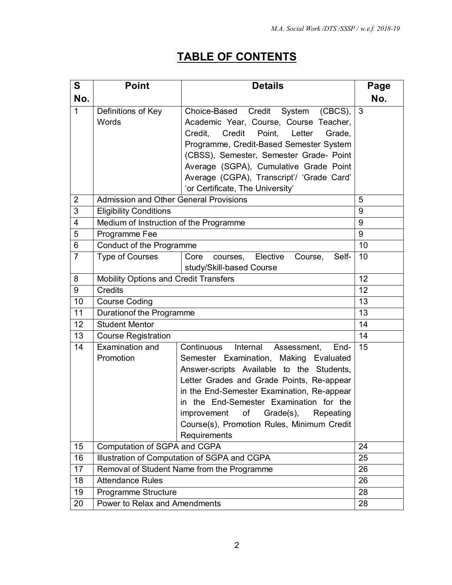## **TABLE OF CONTENTS**

| S                       | <b>Point</b>                                  | <b>Details</b>                                   | Page |  |
|-------------------------|-----------------------------------------------|--------------------------------------------------|------|--|
| No.                     |                                               |                                                  | No.  |  |
| $\mathbf 1$             | Definitions of Key                            | Choice-Based Credit<br>System<br>$(CBCS)$ ,      | 3    |  |
|                         | Words                                         | Academic Year, Course, Course Teacher,           |      |  |
|                         |                                               | Credit<br>Point,<br>Letter<br>Credit,<br>Grade,  |      |  |
|                         |                                               | Programme, Credit-Based Semester System          |      |  |
|                         |                                               | (CBSS), Semester, Semester Grade- Point          |      |  |
|                         |                                               | Average (SGPA), Cumulative Grade Point           |      |  |
|                         |                                               | Average (CGPA), Transcript'/ 'Grade Card'        |      |  |
|                         |                                               | 'or Certificate, The University'                 |      |  |
| $\overline{2}$          | <b>Admission and Other General Provisions</b> |                                                  | 5    |  |
| 3                       | <b>Eligibility Conditions</b>                 |                                                  | 9    |  |
| $\overline{\mathbf{4}}$ | Medium of Instruction of the Programme        |                                                  | 9    |  |
| 5                       | Programme Fee                                 |                                                  | 9    |  |
| 6                       | Conduct of the Programme                      |                                                  | 10   |  |
| $\overline{7}$          | Type of Courses                               | Core<br>Elective<br>Self-<br>Course,<br>courses, | 10   |  |
|                         |                                               | study/Skill-based Course                         |      |  |
| 8                       | Mobility Options and Credit Transfers         |                                                  | 12   |  |
| 9                       | <b>Credits</b>                                |                                                  | 12   |  |
| 10                      | <b>Course Coding</b>                          |                                                  |      |  |
| 11                      | Durationof the Programme                      |                                                  |      |  |
| 12                      | <b>Student Mentor</b>                         |                                                  |      |  |
| $\overline{13}$         | <b>Course Registration</b>                    |                                                  | 14   |  |
| 14                      | Examination and                               | Internal<br>Continuous<br>Assessment,<br>End-    | 15   |  |
|                         | Promotion                                     | Semester Examination, Making Evaluated           |      |  |
|                         |                                               | Answer-scripts Available to the Students,        |      |  |
|                         |                                               | Letter Grades and Grade Points, Re-appear        |      |  |
|                         |                                               | in the End-Semester Examination, Re-appear       |      |  |
|                         |                                               | in the End-Semester Examination for the          |      |  |
|                         |                                               | of Grade(s),<br>Repeating<br>improvement         |      |  |
|                         |                                               | Course(s), Promotion Rules, Minimum Credit       |      |  |
|                         |                                               | Requirements                                     | 24   |  |
| 15                      | Computation of SGPA and CGPA                  |                                                  |      |  |
| 16                      | Illustration of Computation of SGPA and CGPA  |                                                  |      |  |
| 17                      | Removal of Student Name from the Programme    |                                                  |      |  |
| 18                      | <b>Attendance Rules</b>                       |                                                  | 26   |  |
| 19                      | Programme Structure                           |                                                  | 28   |  |
| 20                      | Power to Relax and Amendments                 |                                                  | 28   |  |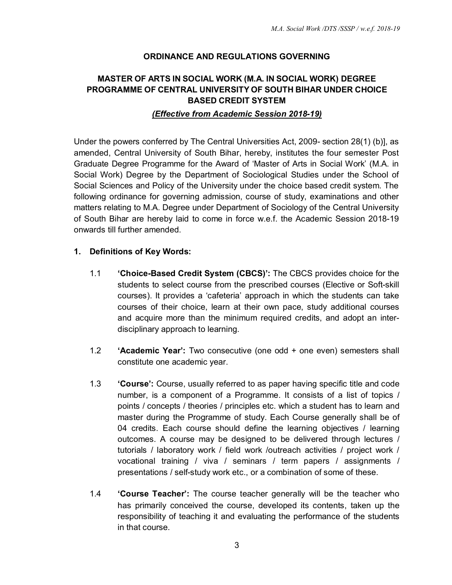## **ORDINANCE AND REGULATIONS GOVERNING**

## **MASTER OF ARTS IN SOCIAL WORK (M.A. IN SOCIAL WORK) DEGREE PROGRAMME OF CENTRAL UNIVERSITY OF SOUTH BIHAR UNDER CHOICE BASED CREDIT SYSTEM**

## *(Effective from Academic Session 2018-19)*

Under the powers conferred by The Central Universities Act, 2009- section 28(1) (b)], as amended, Central University of South Bihar, hereby, institutes the four semester Post Graduate Degree Programme for the Award of 'Master of Arts in Social Work' (M.A. in Social Work) Degree by the Department of Sociological Studies under the School of Social Sciences and Policy of the University under the choice based credit system. The following ordinance for governing admission, course of study, examinations and other matters relating to M.A. Degree under Department of Sociology of the Central University of South Bihar are hereby laid to come in force w.e.f. the Academic Session 2018-19 onwards till further amended.

## **1. Definitions of Key Words:**

- 1.1 **'Choice-Based Credit System (CBCS)':** The CBCS provides choice for the students to select course from the prescribed courses (Elective or Soft-skill courses). It provides a 'cafeteria' approach in which the students can take courses of their choice, learn at their own pace, study additional courses and acquire more than the minimum required credits, and adopt an interdisciplinary approach to learning.
- 1.2 **'Academic Year':** Two consecutive (one odd + one even) semesters shall constitute one academic year.
- 1.3 **'Course':** Course, usually referred to as paper having specific title and code number, is a component of a Programme. It consists of a list of topics / points / concepts / theories / principles etc. which a student has to learn and master during the Programme of study. Each Course generally shall be of 04 credits. Each course should define the learning objectives / learning outcomes. A course may be designed to be delivered through lectures / tutorials / laboratory work / field work /outreach activities / project work / vocational training / viva / seminars / term papers / assignments / presentations / self-study work etc., or a combination of some of these.
- 1.4 **'Course Teacher':** The course teacher generally will be the teacher who has primarily conceived the course, developed its contents, taken up the responsibility of teaching it and evaluating the performance of the students in that course.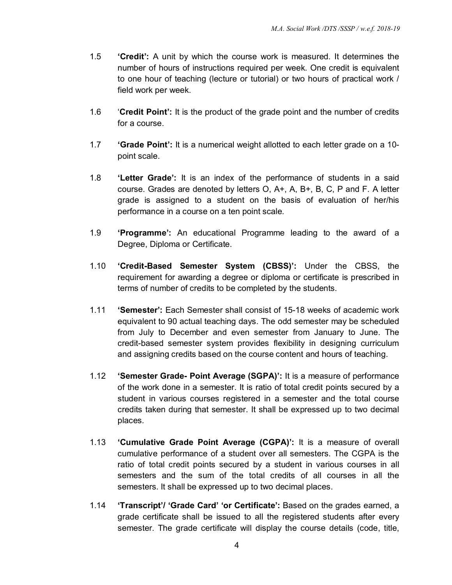- 1.5 **'Credit':** A unit by which the course work is measured. It determines the number of hours of instructions required per week. One credit is equivalent to one hour of teaching (lecture or tutorial) or two hours of practical work / field work per week.
- 1.6 '**Credit Point':** It is the product of the grade point and the number of credits for a course.
- 1.7 **'Grade Point':** It is a numerical weight allotted to each letter grade on a 10 point scale.
- 1.8 **'Letter Grade':** It is an index of the performance of students in a said course. Grades are denoted by letters O, A+, A, B+, B, C, P and F. A letter grade is assigned to a student on the basis of evaluation of her/his performance in a course on a ten point scale.
- 1.9 **'Programme':** An educational Programme leading to the award of a Degree, Diploma or Certificate.
- 1.10 **'Credit-Based Semester System (CBSS)':** Under the CBSS, the requirement for awarding a degree or diploma or certificate is prescribed in terms of number of credits to be completed by the students.
- 1.11 **'Semester':** Each Semester shall consist of 15-18 weeks of academic work equivalent to 90 actual teaching days. The odd semester may be scheduled from July to December and even semester from January to June. The credit-based semester system provides flexibility in designing curriculum and assigning credits based on the course content and hours of teaching.
- 1.12 **'Semester Grade- Point Average (SGPA)':** It is a measure of performance of the work done in a semester. It is ratio of total credit points secured by a student in various courses registered in a semester and the total course credits taken during that semester. It shall be expressed up to two decimal places.
- 1.13 **'Cumulative Grade Point Average (CGPA)':** It is a measure of overall cumulative performance of a student over all semesters. The CGPA is the ratio of total credit points secured by a student in various courses in all semesters and the sum of the total credits of all courses in all the semesters. It shall be expressed up to two decimal places.
- 1.14 **'Transcript'/ 'Grade Card' 'or Certificate':** Based on the grades earned, a grade certificate shall be issued to all the registered students after every semester. The grade certificate will display the course details (code, title,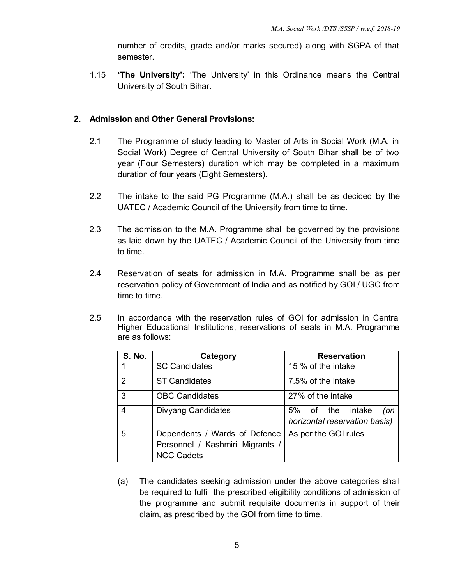number of credits, grade and/or marks secured) along with SGPA of that semester.

1.15 **'The University':** 'The University' in this Ordinance means the Central University of South Bihar.

## **2. Admission and Other General Provisions:**

- 2.1 The Programme of study leading to Master of Arts in Social Work (M.A. in Social Work) Degree of Central University of South Bihar shall be of two year (Four Semesters) duration which may be completed in a maximum duration of four years (Eight Semesters).
- 2.2 The intake to the said PG Programme (M.A.) shall be as decided by the UATEC / Academic Council of the University from time to time.
- 2.3 The admission to the M.A. Programme shall be governed by the provisions as laid down by the UATEC / Academic Council of the University from time to time.
- 2.4 Reservation of seats for admission in M.A. Programme shall be as per reservation policy of Government of India and as notified by GOI / UGC from time to time.
- 2.5 In accordance with the reservation rules of GOI for admission in Central Higher Educational Institutions, reservations of seats in M.A. Programme are as follows:

| <b>S. No.</b> | Category                                                                              | <b>Reservation</b>                                       |  |  |
|---------------|---------------------------------------------------------------------------------------|----------------------------------------------------------|--|--|
|               | <b>SC Candidates</b>                                                                  | 15 % of the intake                                       |  |  |
| 2             | <b>ST Candidates</b>                                                                  | 7.5% of the intake                                       |  |  |
| 3             | <b>OBC Candidates</b>                                                                 | 27% of the intake                                        |  |  |
| 4             | <b>Divyang Candidates</b>                                                             | 5% of the intake<br>(on<br>horizontal reservation basis) |  |  |
| 5             | Dependents / Wards of Defence<br>Personnel / Kashmiri Migrants /<br><b>NCC Cadets</b> | As per the GOI rules                                     |  |  |

(a) The candidates seeking admission under the above categories shall be required to fulfill the prescribed eligibility conditions of admission of the programme and submit requisite documents in support of their claim, as prescribed by the GOI from time to time.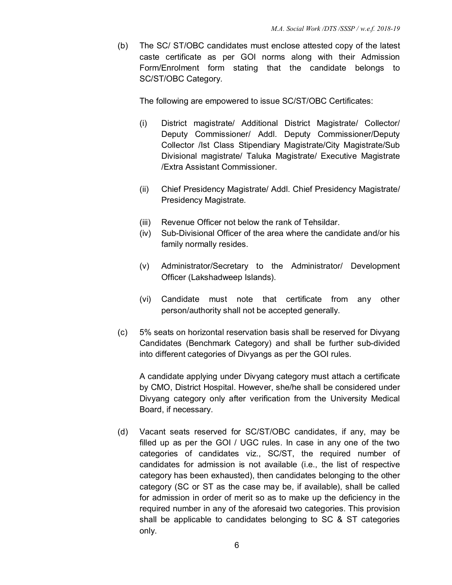(b) The SC/ ST/OBC candidates must enclose attested copy of the latest caste certificate as per GOI norms along with their Admission Form/Enrolment form stating that the candidate belongs to SC/ST/OBC Category.

The following are empowered to issue SC/ST/OBC Certificates:

- (i) District magistrate/ Additional District Magistrate/ Collector/ Deputy Commissioner/ Addl. Deputy Commissioner/Deputy Collector /Ist Class Stipendiary Magistrate/City Magistrate/Sub Divisional magistrate/ Taluka Magistrate/ Executive Magistrate /Extra Assistant Commissioner.
- (ii) Chief Presidency Magistrate/ Addl. Chief Presidency Magistrate/ Presidency Magistrate.
- (iii) Revenue Officer not below the rank of Tehsildar.
- (iv) Sub-Divisional Officer of the area where the candidate and/or his family normally resides.
- (v) Administrator/Secretary to the Administrator/ Development Officer (Lakshadweep Islands).
- (vi) Candidate must note that certificate from any other person/authority shall not be accepted generally.
- (c) 5% seats on horizontal reservation basis shall be reserved for Divyang Candidates (Benchmark Category) and shall be further sub-divided into different categories of Divyangs as per the GOI rules.

A candidate applying under Divyang category must attach a certificate by CMO, District Hospital. However, she/he shall be considered under Divyang category only after verification from the University Medical Board, if necessary.

(d) Vacant seats reserved for SC/ST/OBC candidates, if any, may be filled up as per the GOI / UGC rules. In case in any one of the two categories of candidates viz., SC/ST, the required number of candidates for admission is not available (i.e., the list of respective category has been exhausted), then candidates belonging to the other category (SC or ST as the case may be, if available), shall be called for admission in order of merit so as to make up the deficiency in the required number in any of the aforesaid two categories. This provision shall be applicable to candidates belonging to SC & ST categories only.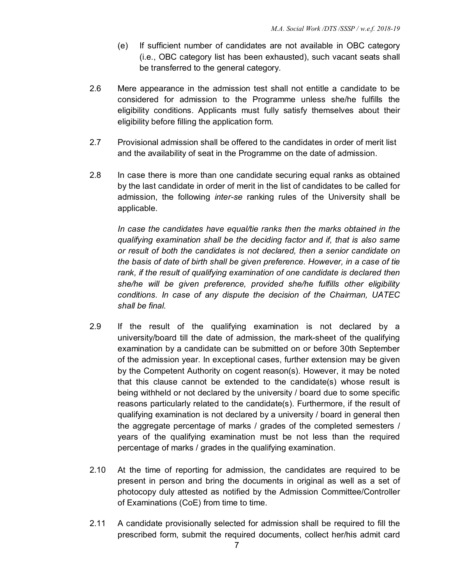- (e) If sufficient number of candidates are not available in OBC category (i.e., OBC category list has been exhausted), such vacant seats shall be transferred to the general category.
- 2.6 Mere appearance in the admission test shall not entitle a candidate to be considered for admission to the Programme unless she/he fulfills the eligibility conditions. Applicants must fully satisfy themselves about their eligibility before filling the application form.
- 2.7 Provisional admission shall be offered to the candidates in order of merit list and the availability of seat in the Programme on the date of admission.
- 2.8 In case there is more than one candidate securing equal ranks as obtained by the last candidate in order of merit in the list of candidates to be called for admission, the following *inter-se* ranking rules of the University shall be applicable.

*In case the candidates have equal/tie ranks then the marks obtained in the qualifying examination shall be the deciding factor and if, that is also same or result of both the candidates is not declared, then a senior candidate on the basis of date of birth shall be given preference. However, in a case of tie rank, if the result of qualifying examination of one candidate is declared then she/he will be given preference, provided she/he fulfills other eligibility conditions. In case of any dispute the decision of the Chairman, UATEC shall be final.* 

- 2.9 If the result of the qualifying examination is not declared by a university/board till the date of admission, the mark-sheet of the qualifying examination by a candidate can be submitted on or before 30th September of the admission year. In exceptional cases, further extension may be given by the Competent Authority on cogent reason(s). However, it may be noted that this clause cannot be extended to the candidate(s) whose result is being withheld or not declared by the university / board due to some specific reasons particularly related to the candidate(s). Furthermore, if the result of qualifying examination is not declared by a university / board in general then the aggregate percentage of marks / grades of the completed semesters / years of the qualifying examination must be not less than the required percentage of marks / grades in the qualifying examination.
- 2.10 At the time of reporting for admission, the candidates are required to be present in person and bring the documents in original as well as a set of photocopy duly attested as notified by the Admission Committee/Controller of Examinations (CoE) from time to time.
- 2.11 A candidate provisionally selected for admission shall be required to fill the prescribed form, submit the required documents, collect her/his admit card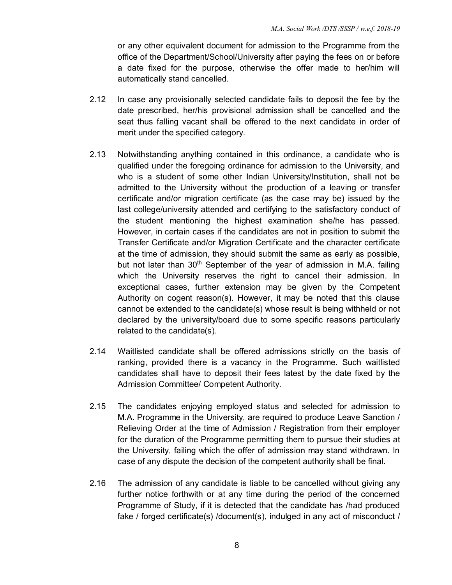or any other equivalent document for admission to the Programme from the office of the Department/School/University after paying the fees on or before a date fixed for the purpose, otherwise the offer made to her/him will automatically stand cancelled.

- 2.12 In case any provisionally selected candidate fails to deposit the fee by the date prescribed, her/his provisional admission shall be cancelled and the seat thus falling vacant shall be offered to the next candidate in order of merit under the specified category.
- 2.13 Notwithstanding anything contained in this ordinance, a candidate who is qualified under the foregoing ordinance for admission to the University, and who is a student of some other Indian University/Institution, shall not be admitted to the University without the production of a leaving or transfer certificate and/or migration certificate (as the case may be) issued by the last college/university attended and certifying to the satisfactory conduct of the student mentioning the highest examination she/he has passed. However, in certain cases if the candidates are not in position to submit the Transfer Certificate and/or Migration Certificate and the character certificate at the time of admission, they should submit the same as early as possible, but not later than  $30<sup>th</sup>$  September of the year of admission in M.A. failing which the University reserves the right to cancel their admission. In exceptional cases, further extension may be given by the Competent Authority on cogent reason(s). However, it may be noted that this clause cannot be extended to the candidate(s) whose result is being withheld or not declared by the university/board due to some specific reasons particularly related to the candidate(s).
- 2.14 Waitlisted candidate shall be offered admissions strictly on the basis of ranking, provided there is a vacancy in the Programme. Such waitlisted candidates shall have to deposit their fees latest by the date fixed by the Admission Committee/ Competent Authority.
- 2.15 The candidates enjoying employed status and selected for admission to M.A. Programme in the University, are required to produce Leave Sanction / Relieving Order at the time of Admission / Registration from their employer for the duration of the Programme permitting them to pursue their studies at the University, failing which the offer of admission may stand withdrawn. In case of any dispute the decision of the competent authority shall be final.
- 2.16 The admission of any candidate is liable to be cancelled without giving any further notice forthwith or at any time during the period of the concerned Programme of Study, if it is detected that the candidate has /had produced fake / forged certificate(s) /document(s), indulged in any act of misconduct /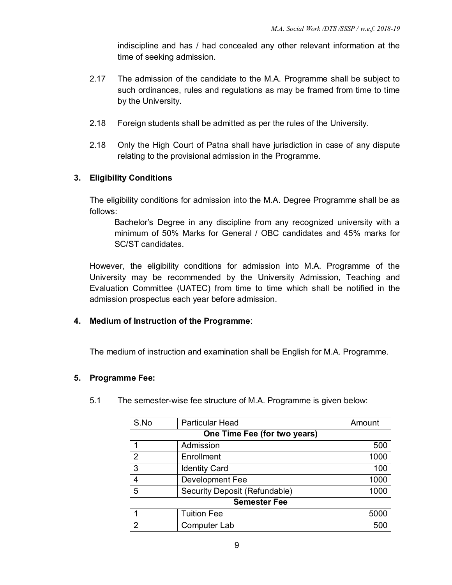indiscipline and has / had concealed any other relevant information at the time of seeking admission.

- 2.17 The admission of the candidate to the M.A. Programme shall be subject to such ordinances, rules and regulations as may be framed from time to time by the University.
- 2.18 Foreign students shall be admitted as per the rules of the University.
- 2.18 Only the High Court of Patna shall have jurisdiction in case of any dispute relating to the provisional admission in the Programme.

## **3. Eligibility Conditions**

The eligibility conditions for admission into the M.A. Degree Programme shall be as follows:

Bachelor's Degree in any discipline from any recognized university with a minimum of 50% Marks for General / OBC candidates and 45% marks for SC/ST candidates.

However, the eligibility conditions for admission into M.A. Programme of the University may be recommended by the University Admission, Teaching and Evaluation Committee (UATEC) from time to time which shall be notified in the admission prospectus each year before admission.

## **4. Medium of Instruction of the Programme**:

The medium of instruction and examination shall be English for M.A. Programme.

#### **5. Programme Fee:**

| S.No                | Amount                        |      |  |
|---------------------|-------------------------------|------|--|
|                     | One Time Fee (for two years)  |      |  |
|                     | Admission                     | 500  |  |
| $\mathcal{P}$       | Enrollment                    | 1000 |  |
| 3                   | <b>Identity Card</b>          | 100  |  |
| 4                   | Development Fee               | 1000 |  |
| 5                   | Security Deposit (Refundable) | 1000 |  |
| <b>Semester Fee</b> |                               |      |  |
|                     | <b>Tuition Fee</b>            | 5000 |  |
| າ                   | Computer Lab                  | 500  |  |

5.1 The semester-wise fee structure of M.A. Programme is given below: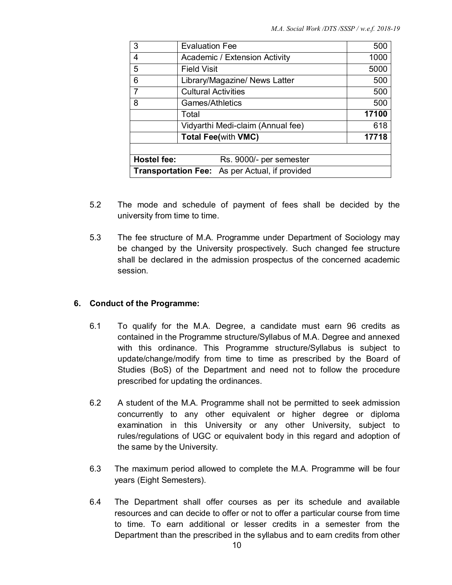| 3                                                     | <b>Evaluation Fee</b>         | 500   |  |
|-------------------------------------------------------|-------------------------------|-------|--|
| 4                                                     | Academic / Extension Activity | 1000  |  |
| 5                                                     | <b>Field Visit</b>            | 5000  |  |
| 6                                                     | Library/Magazine/ News Latter | 500   |  |
| 7                                                     | <b>Cultural Activities</b>    | 500   |  |
| 8                                                     | Games/Athletics               | 500   |  |
| Total                                                 |                               | 17100 |  |
| Vidyarthi Medi-claim (Annual fee)                     |                               | 618   |  |
| <b>Total Fee(with VMC)</b>                            |                               | 17718 |  |
|                                                       |                               |       |  |
| <b>Hostel fee:</b><br>Rs. 9000/- per semester         |                               |       |  |
| <b>Transportation Fee:</b> As per Actual, if provided |                               |       |  |

- 5.2 The mode and schedule of payment of fees shall be decided by the university from time to time.
- 5.3 The fee structure of M.A. Programme under Department of Sociology may be changed by the University prospectively. Such changed fee structure shall be declared in the admission prospectus of the concerned academic session.

#### **6. Conduct of the Programme:**

- 6.1 To qualify for the M.A. Degree, a candidate must earn 96 credits as contained in the Programme structure/Syllabus of M.A. Degree and annexed with this ordinance. This Programme structure/Syllabus is subject to update/change/modify from time to time as prescribed by the Board of Studies (BoS) of the Department and need not to follow the procedure prescribed for updating the ordinances.
- 6.2 A student of the M.A. Programme shall not be permitted to seek admission concurrently to any other equivalent or higher degree or diploma examination in this University or any other University, subject to rules/regulations of UGC or equivalent body in this regard and adoption of the same by the University.
- 6.3 The maximum period allowed to complete the M.A. Programme will be four years (Eight Semesters).
- 6.4 The Department shall offer courses as per its schedule and available resources and can decide to offer or not to offer a particular course from time to time. To earn additional or lesser credits in a semester from the Department than the prescribed in the syllabus and to earn credits from other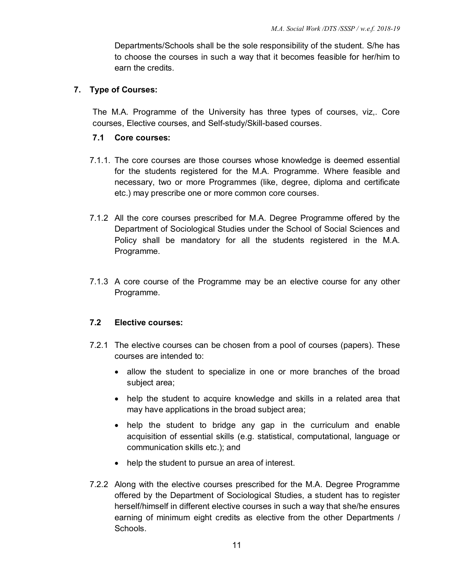Departments/Schools shall be the sole responsibility of the student. S/he has to choose the courses in such a way that it becomes feasible for her/him to earn the credits.

#### **7. Type of Courses:**

The M.A. Programme of the University has three types of courses, viz,. Core courses, Elective courses, and Self-study/Skill-based courses.

#### **7.1 Core courses:**

- 7.1.1. The core courses are those courses whose knowledge is deemed essential for the students registered for the M.A. Programme. Where feasible and necessary, two or more Programmes (like, degree, diploma and certificate etc.) may prescribe one or more common core courses.
- 7.1.2 All the core courses prescribed for M.A. Degree Programme offered by the Department of Sociological Studies under the School of Social Sciences and Policy shall be mandatory for all the students registered in the M.A. Programme.
- 7.1.3 A core course of the Programme may be an elective course for any other Programme.

#### **7.2 Elective courses:**

- 7.2.1 The elective courses can be chosen from a pool of courses (papers). These courses are intended to:
	- allow the student to specialize in one or more branches of the broad subject area;
	- help the student to acquire knowledge and skills in a related area that may have applications in the broad subject area;
	- help the student to bridge any gap in the curriculum and enable acquisition of essential skills (e.g. statistical, computational, language or communication skills etc.); and
	- help the student to pursue an area of interest.
- 7.2.2 Along with the elective courses prescribed for the M.A. Degree Programme offered by the Department of Sociological Studies, a student has to register herself/himself in different elective courses in such a way that she/he ensures earning of minimum eight credits as elective from the other Departments / Schools.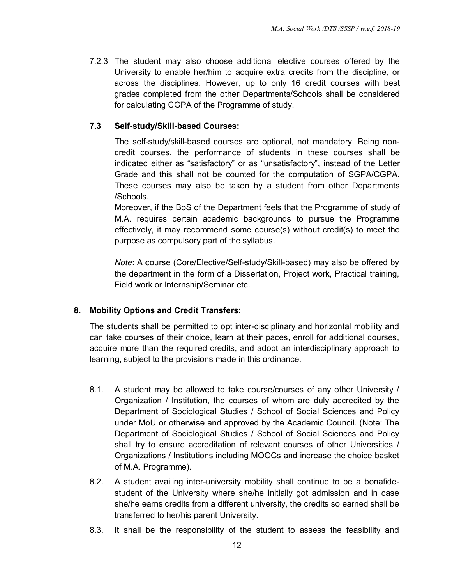7.2.3 The student may also choose additional elective courses offered by the University to enable her/him to acquire extra credits from the discipline, or across the disciplines. However, up to only 16 credit courses with best grades completed from the other Departments/Schools shall be considered for calculating CGPA of the Programme of study.

## **7.3 Self-study/Skill-based Courses:**

The self-study/skill-based courses are optional, not mandatory. Being noncredit courses, the performance of students in these courses shall be indicated either as "satisfactory" or as "unsatisfactory", instead of the Letter Grade and this shall not be counted for the computation of SGPA/CGPA. These courses may also be taken by a student from other Departments /Schools.

Moreover, if the BoS of the Department feels that the Programme of study of M.A. requires certain academic backgrounds to pursue the Programme effectively, it may recommend some course(s) without credit(s) to meet the purpose as compulsory part of the syllabus.

*Note*: A course (Core/Elective/Self-study/Skill-based) may also be offered by the department in the form of a Dissertation, Project work, Practical training, Field work or Internship/Seminar etc.

## **8. Mobility Options and Credit Transfers:**

The students shall be permitted to opt inter-disciplinary and horizontal mobility and can take courses of their choice, learn at their paces, enroll for additional courses, acquire more than the required credits, and adopt an interdisciplinary approach to learning, subject to the provisions made in this ordinance.

- 8.1. A student may be allowed to take course/courses of any other University / Organization / Institution, the courses of whom are duly accredited by the Department of Sociological Studies / School of Social Sciences and Policy under MoU or otherwise and approved by the Academic Council. (Note: The Department of Sociological Studies / School of Social Sciences and Policy shall try to ensure accreditation of relevant courses of other Universities / Organizations / Institutions including MOOCs and increase the choice basket of M.A. Programme).
- 8.2. A student availing inter-university mobility shall continue to be a bonafidestudent of the University where she/he initially got admission and in case she/he earns credits from a different university, the credits so earned shall be transferred to her/his parent University.
- 8.3. It shall be the responsibility of the student to assess the feasibility and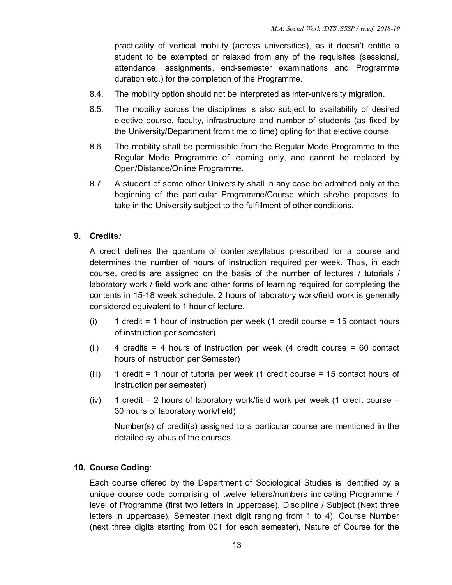practicality of vertical mobility (across universities), as it doesn't entitle a student to be exempted or relaxed from any of the requisites (sessional, attendance, assignments, end-semester examinations and Programme duration etc.) for the completion of the Programme.

- 8.4. The mobility option should not be interpreted as inter-university migration.
- 8.5. The mobility across the disciplines is also subject to availability of desired elective course, faculty, infrastructure and number of students (as fixed by the University/Department from time to time) opting for that elective course.
- 8.6. The mobility shall be permissible from the Regular Mode Programme to the Regular Mode Programme of learning only, and cannot be replaced by Open/Distance/Online Programme.
- 8.7 A student of some other University shall in any case be admitted only at the beginning of the particular Programme/Course which she/he proposes to take in the University subject to the fulfillment of other conditions.

#### **9. Credits***:*

A credit defines the quantum of contents/syllabus prescribed for a course and determines the number of hours of instruction required per week. Thus, in each course, credits are assigned on the basis of the number of lectures / tutorials / laboratory work / field work and other forms of learning required for completing the contents in 15-18 week schedule. 2 hours of laboratory work/field work is generally considered equivalent to 1 hour of lecture.

- (i) 1 credit = 1 hour of instruction per week (1 credit course =  $15$  contact hours of instruction per semester)
- (ii) 4 credits = 4 hours of instruction per week (4 credit course =  $60$  contact hours of instruction per Semester)
- (iii) 1 credit = 1 hour of tutorial per week (1 credit course = 15 contact hours of instruction per semester)
- $(iv)$  1 credit = 2 hours of laboratory work/field work per week (1 credit course = 30 hours of laboratory work/field)

Number(s) of credit(s) assigned to a particular course are mentioned in the detailed syllabus of the courses.

#### **10. Course Coding**:

Each course offered by the Department of Sociological Studies is identified by a unique course code comprising of twelve letters/numbers indicating Programme / level of Programme (first two letters in uppercase), Discipline / Subject (Next three letters in uppercase), Semester (next digit ranging from 1 to 4), Course Number (next three digits starting from 001 for each semester), Nature of Course for the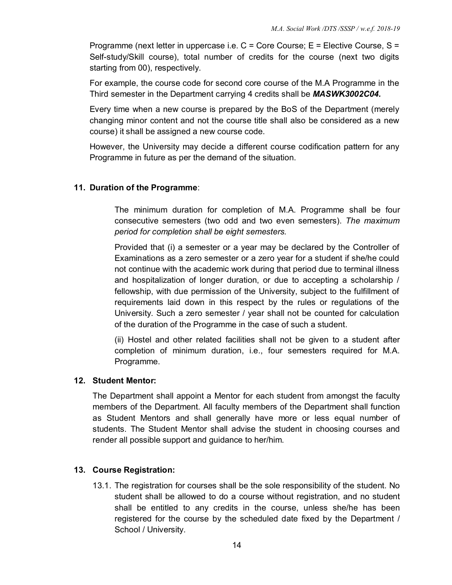Programme (next letter in uppercase i.e. C = Core Course; E = Elective Course, S = Self-study/Skill course), total number of credits for the course (next two digits starting from 00), respectively.

For example, the course code for second core course of the M.A Programme in the Third semester in the Department carrying 4 credits shall be *MASWK3002C04.*

Every time when a new course is prepared by the BoS of the Department (merely changing minor content and not the course title shall also be considered as a new course) it shall be assigned a new course code.

However, the University may decide a different course codification pattern for any Programme in future as per the demand of the situation.

## **11. Duration of the Programme**:

The minimum duration for completion of M.A. Programme shall be four consecutive semesters (two odd and two even semesters). *The maximum period for completion shall be eight semesters.* 

Provided that (i) a semester or a year may be declared by the Controller of Examinations as a zero semester or a zero year for a student if she/he could not continue with the academic work during that period due to terminal illness and hospitalization of longer duration, or due to accepting a scholarship / fellowship, with due permission of the University, subject to the fulfillment of requirements laid down in this respect by the rules or regulations of the University. Such a zero semester / year shall not be counted for calculation of the duration of the Programme in the case of such a student.

(ii) Hostel and other related facilities shall not be given to a student after completion of minimum duration, i.e., four semesters required for M.A. Programme.

## **12. Student Mentor:**

The Department shall appoint a Mentor for each student from amongst the faculty members of the Department. All faculty members of the Department shall function as Student Mentors and shall generally have more or less equal number of students. The Student Mentor shall advise the student in choosing courses and render all possible support and guidance to her/him.

## **13. Course Registration:**

13.1. The registration for courses shall be the sole responsibility of the student. No student shall be allowed to do a course without registration, and no student shall be entitled to any credits in the course, unless she/he has been registered for the course by the scheduled date fixed by the Department / School / University.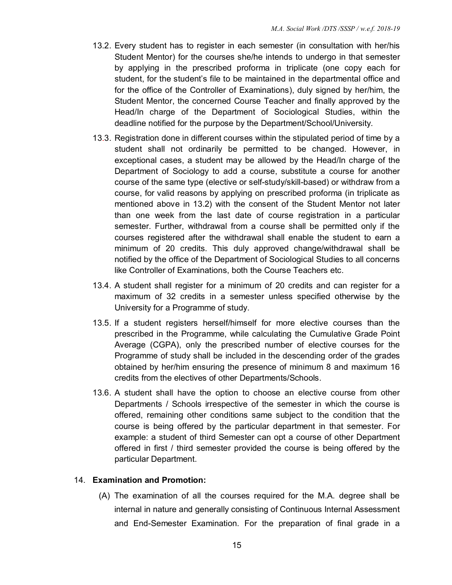- 13.2. Every student has to register in each semester (in consultation with her/his Student Mentor) for the courses she/he intends to undergo in that semester by applying in the prescribed proforma in triplicate (one copy each for student, for the student's file to be maintained in the departmental office and for the office of the Controller of Examinations), duly signed by her/him, the Student Mentor, the concerned Course Teacher and finally approved by the Head/In charge of the Department of Sociological Studies, within the deadline notified for the purpose by the Department/School/University.
- 13.3. Registration done in different courses within the stipulated period of time by a student shall not ordinarily be permitted to be changed. However, in exceptional cases, a student may be allowed by the Head/In charge of the Department of Sociology to add a course, substitute a course for another course of the same type (elective or self-study/skill-based) or withdraw from a course, for valid reasons by applying on prescribed proforma (in triplicate as mentioned above in 13.2) with the consent of the Student Mentor not later than one week from the last date of course registration in a particular semester. Further, withdrawal from a course shall be permitted only if the courses registered after the withdrawal shall enable the student to earn a minimum of 20 credits. This duly approved change/withdrawal shall be notified by the office of the Department of Sociological Studies to all concerns like Controller of Examinations, both the Course Teachers etc.
- 13.4. A student shall register for a minimum of 20 credits and can register for a maximum of 32 credits in a semester unless specified otherwise by the University for a Programme of study.
- 13.5. If a student registers herself/himself for more elective courses than the prescribed in the Programme, while calculating the Cumulative Grade Point Average (CGPA), only the prescribed number of elective courses for the Programme of study shall be included in the descending order of the grades obtained by her/him ensuring the presence of minimum 8 and maximum 16 credits from the electives of other Departments/Schools.
- 13.6. A student shall have the option to choose an elective course from other Departments / Schools irrespective of the semester in which the course is offered, remaining other conditions same subject to the condition that the course is being offered by the particular department in that semester. For example: a student of third Semester can opt a course of other Department offered in first / third semester provided the course is being offered by the particular Department.

#### 14. **Examination and Promotion:**

 (A) The examination of all the courses required for the M.A. degree shall be internal in nature and generally consisting of Continuous Internal Assessment and End-Semester Examination. For the preparation of final grade in a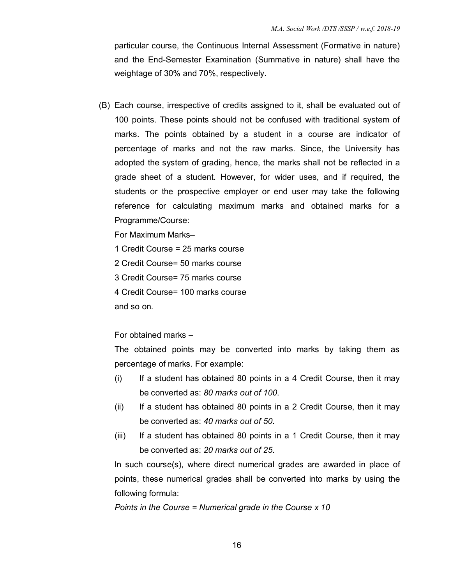particular course, the Continuous Internal Assessment (Formative in nature) and the End-Semester Examination (Summative in nature) shall have the weightage of 30% and 70%, respectively.

(B) Each course, irrespective of credits assigned to it, shall be evaluated out of 100 points. These points should not be confused with traditional system of marks. The points obtained by a student in a course are indicator of percentage of marks and not the raw marks. Since, the University has adopted the system of grading, hence, the marks shall not be reflected in a grade sheet of a student. However, for wider uses, and if required, the students or the prospective employer or end user may take the following reference for calculating maximum marks and obtained marks for a Programme/Course:

For Maximum Marks–

1 Credit Course = 25 marks course

2 Credit Course= 50 marks course

3 Credit Course= 75 marks course

4 Credit Course= 100 marks course

and so on.

For obtained marks –

The obtained points may be converted into marks by taking them as percentage of marks. For example:

- (i) If a student has obtained 80 points in a 4 Credit Course, then it may be converted as: *80 marks out of 100*.
- (ii) If a student has obtained 80 points in a 2 Credit Course, then it may be converted as: *40 marks out of 50*.
- (iii) If a student has obtained 80 points in a 1 Credit Course, then it may be converted as: *20 marks out of 25*.

In such course(s), where direct numerical grades are awarded in place of points, these numerical grades shall be converted into marks by using the following formula:

*Points in the Course = Numerical grade in the Course x 10*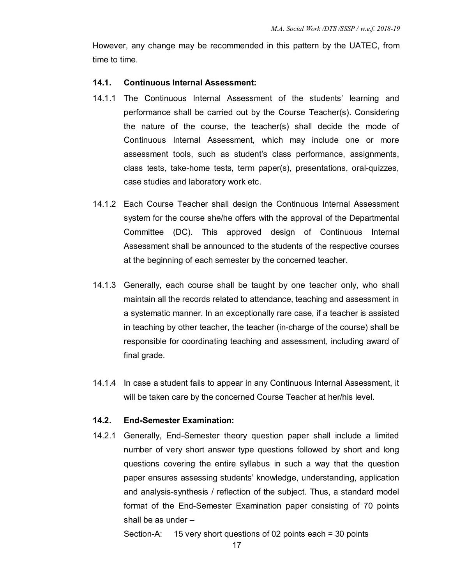However, any change may be recommended in this pattern by the UATEC, from time to time.

#### **14.1. Continuous Internal Assessment:**

- 14.1.1 The Continuous Internal Assessment of the students' learning and performance shall be carried out by the Course Teacher(s). Considering the nature of the course, the teacher(s) shall decide the mode of Continuous Internal Assessment, which may include one or more assessment tools, such as student's class performance, assignments, class tests, take-home tests, term paper(s), presentations, oral-quizzes, case studies and laboratory work etc.
- 14.1.2 Each Course Teacher shall design the Continuous Internal Assessment system for the course she/he offers with the approval of the Departmental Committee (DC). This approved design of Continuous Internal Assessment shall be announced to the students of the respective courses at the beginning of each semester by the concerned teacher.
- 14.1.3 Generally, each course shall be taught by one teacher only, who shall maintain all the records related to attendance, teaching and assessment in a systematic manner. In an exceptionally rare case, if a teacher is assisted in teaching by other teacher, the teacher (in-charge of the course) shall be responsible for coordinating teaching and assessment, including award of final grade.
- 14.1.4 In case a student fails to appear in any Continuous Internal Assessment, it will be taken care by the concerned Course Teacher at her/his level.

#### **14.2. End-Semester Examination:**

14.2.1 Generally, End-Semester theory question paper shall include a limited number of very short answer type questions followed by short and long questions covering the entire syllabus in such a way that the question paper ensures assessing students' knowledge, understanding, application and analysis-synthesis / reflection of the subject. Thus, a standard model format of the End-Semester Examination paper consisting of 70 points shall be as under –

Section-A: 15 very short questions of 02 points each = 30 points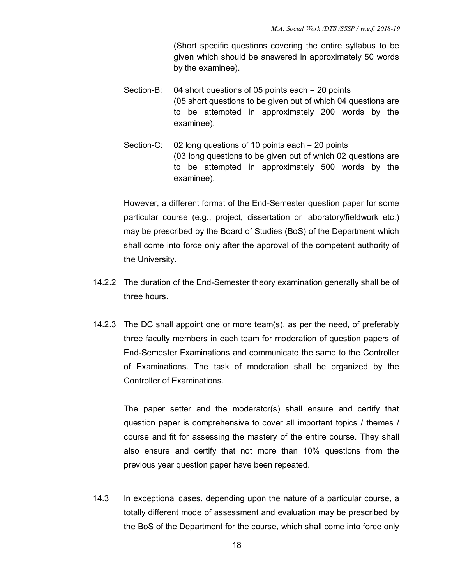(Short specific questions covering the entire syllabus to be given which should be answered in approximately 50 words by the examinee).

- Section-B: 04 short questions of 05 points each = 20 points (05 short questions to be given out of which 04 questions are to be attempted in approximately 200 words by the examinee).
- Section-C: 02 long questions of 10 points each = 20 points (03 long questions to be given out of which 02 questions are to be attempted in approximately 500 words by the examinee).

However, a different format of the End-Semester question paper for some particular course (e.g., project, dissertation or laboratory/fieldwork etc.) may be prescribed by the Board of Studies (BoS) of the Department which shall come into force only after the approval of the competent authority of the University.

- 14.2.2 The duration of the End-Semester theory examination generally shall be of three hours.
- 14.2.3 The DC shall appoint one or more team(s), as per the need, of preferably three faculty members in each team for moderation of question papers of End-Semester Examinations and communicate the same to the Controller of Examinations. The task of moderation shall be organized by the Controller of Examinations.

The paper setter and the moderator(s) shall ensure and certify that question paper is comprehensive to cover all important topics / themes / course and fit for assessing the mastery of the entire course. They shall also ensure and certify that not more than 10% questions from the previous year question paper have been repeated.

14.3 In exceptional cases, depending upon the nature of a particular course, a totally different mode of assessment and evaluation may be prescribed by the BoS of the Department for the course, which shall come into force only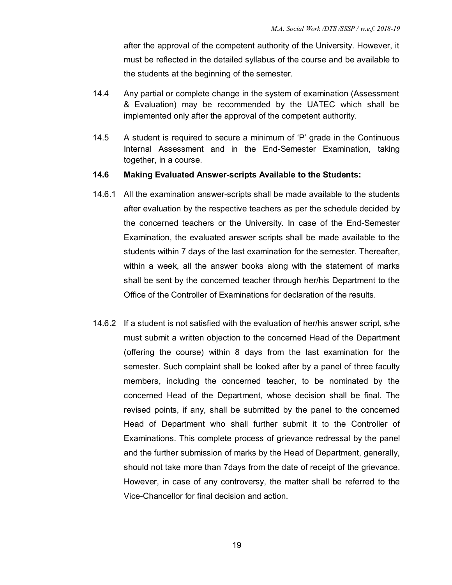after the approval of the competent authority of the University. However, it must be reflected in the detailed syllabus of the course and be available to the students at the beginning of the semester.

- 14.4 Any partial or complete change in the system of examination (Assessment & Evaluation) may be recommended by the UATEC which shall be implemented only after the approval of the competent authority.
- 14.5 A student is required to secure a minimum of 'P' grade in the Continuous Internal Assessment and in the End-Semester Examination, taking together, in a course.

#### **14.6 Making Evaluated Answer-scripts Available to the Students:**

- 14.6.1 All the examination answer-scripts shall be made available to the students after evaluation by the respective teachers as per the schedule decided by the concerned teachers or the University. In case of the End-Semester Examination, the evaluated answer scripts shall be made available to the students within 7 days of the last examination for the semester. Thereafter, within a week, all the answer books along with the statement of marks shall be sent by the concerned teacher through her/his Department to the Office of the Controller of Examinations for declaration of the results.
- 14.6.2 If a student is not satisfied with the evaluation of her/his answer script, s/he must submit a written objection to the concerned Head of the Department (offering the course) within 8 days from the last examination for the semester. Such complaint shall be looked after by a panel of three faculty members, including the concerned teacher, to be nominated by the concerned Head of the Department, whose decision shall be final. The revised points, if any, shall be submitted by the panel to the concerned Head of Department who shall further submit it to the Controller of Examinations. This complete process of grievance redressal by the panel and the further submission of marks by the Head of Department, generally, should not take more than 7days from the date of receipt of the grievance. However, in case of any controversy, the matter shall be referred to the Vice-Chancellor for final decision and action.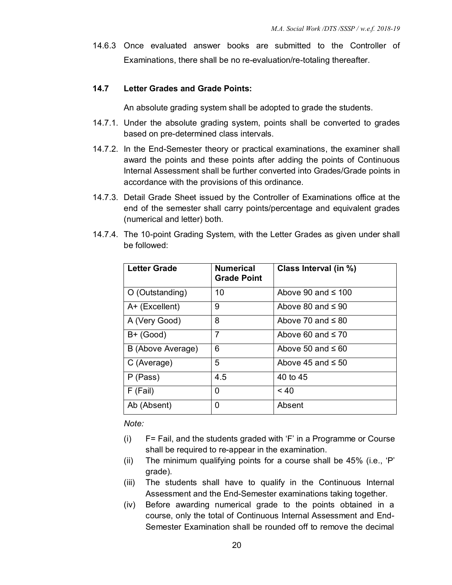14.6.3 Once evaluated answer books are submitted to the Controller of Examinations, there shall be no re-evaluation/re-totaling thereafter.

#### **14.7 Letter Grades and Grade Points:**

An absolute grading system shall be adopted to grade the students.

- 14.7.1. Under the absolute grading system, points shall be converted to grades based on pre-determined class intervals.
- 14.7.2. In the End-Semester theory or practical examinations, the examiner shall award the points and these points after adding the points of Continuous Internal Assessment shall be further converted into Grades/Grade points in accordance with the provisions of this ordinance.
- 14.7.3. Detail Grade Sheet issued by the Controller of Examinations office at the end of the semester shall carry points/percentage and equivalent grades (numerical and letter) both.

| <b>Letter Grade</b> | <b>Numerical</b><br><b>Grade Point</b> | Class Interval (in %)   |
|---------------------|----------------------------------------|-------------------------|
| O (Outstanding)     | 10                                     | Above 90 and $\leq$ 100 |
| A+ (Excellent)      | 9                                      | Above 80 and $\leq 90$  |
| A (Very Good)       | 8                                      | Above 70 and $\leq 80$  |
| $B+$ (Good)         | 7                                      | Above 60 and $\leq 70$  |
| B (Above Average)   | 6                                      | Above 50 and $\leq 60$  |
| C (Average)         | 5                                      | Above 45 and $\leq 50$  |
| P (Pass)            | 4.5                                    | 40 to 45                |
| F (Fail)            | 0                                      | < 40                    |
| Ab (Absent)         | 0                                      | Absent                  |

14.7.4. The 10-point Grading System, with the Letter Grades as given under shall be followed:

*Note:* 

- (i) F= Fail, and the students graded with 'F' in a Programme or Course shall be required to re-appear in the examination.
- (ii) The minimum qualifying points for a course shall be 45% (i.e., 'P' grade).
- (iii) The students shall have to qualify in the Continuous Internal Assessment and the End-Semester examinations taking together.
- (iv) Before awarding numerical grade to the points obtained in a course, only the total of Continuous Internal Assessment and End-Semester Examination shall be rounded off to remove the decimal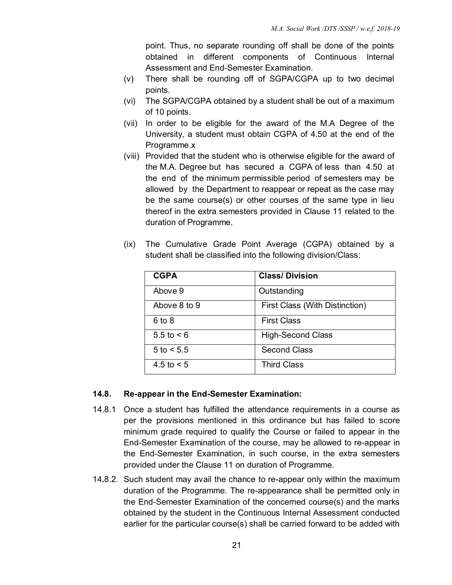point. Thus, no separate rounding off shall be done of the points obtained in different components of Continuous Internal Assessment and End-Semester Examination.

- (v) There shall be rounding off of SGPA/CGPA up to two decimal points.
- (vi) The SGPA/CGPA obtained by a student shall be out of a maximum of 10 points.
- (vii) In order to be eligible for the award of the M.A Degree of the University, a student must obtain CGPA of 4.50 at the end of the Programme.x
- (viii) Provided that the student who is otherwise eligible for the award of the M.A. Degree but has secured a CGPA of less than 4.50 at the end of the minimum permissible period of semesters may be allowed by the Department to reappear or repeat as the case may be the same course(s) or other courses of the same type in lieu thereof in the extra semesters provided in Clause 11 related to the duration of Programme.
- (ix) The Cumulative Grade Point Average (CGPA) obtained by a student shall be classified into the following division/Class:

| <b>CGPA</b>    | <b>Class/Division</b>          |
|----------------|--------------------------------|
| Above 9        | Outstanding                    |
| Above 8 to 9   | First Class (With Distinction) |
| 6 to 8         | <b>First Class</b>             |
| 5.5 to $< 6$   | <b>High-Second Class</b>       |
| $5$ to $< 5.5$ | Second Class                   |
| 4.5 to $< 5$   | <b>Third Class</b>             |

## **14.8. Re-appear in the End-Semester Examination:**

- 14.8.1 Once a student has fulfilled the attendance requirements in a course as per the provisions mentioned in this ordinance but has failed to score minimum grade required to qualify the Course or failed to appear in the End-Semester Examination of the course, may be allowed to re-appear in the End-Semester Examination, in such course, in the extra semesters provided under the Clause 11 on duration of Programme.
- 14**.**8.2. Such student may avail the chance to re-appear only within the maximum duration of the Programme. The re-appearance shall be permitted only in the End-Semester Examination of the concerned course(s) and the marks obtained by the student in the Continuous Internal Assessment conducted earlier for the particular course(s) shall be carried forward to be added with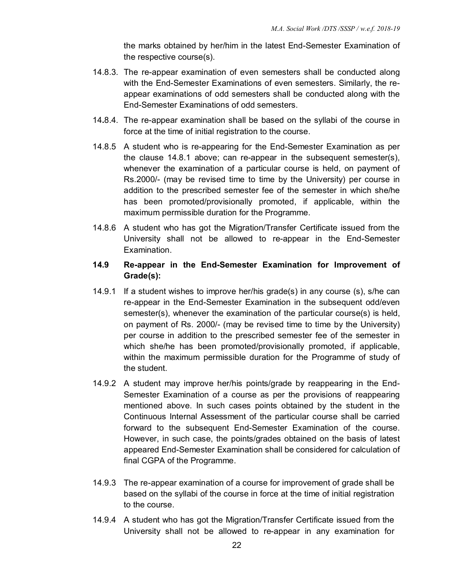the marks obtained by her/him in the latest End-Semester Examination of the respective course(s).

- 14.8.3. The re-appear examination of even semesters shall be conducted along with the End-Semester Examinations of even semesters. Similarly, the reappear examinations of odd semesters shall be conducted along with the End-Semester Examinations of odd semesters.
- 14**.**8.4. The re-appear examination shall be based on the syllabi of the course in force at the time of initial registration to the course.
- 14.8.5 A student who is re-appearing for the End-Semester Examination as per the clause 14.8.1 above; can re-appear in the subsequent semester(s), whenever the examination of a particular course is held, on payment of Rs.2000/- (may be revised time to time by the University) per course in addition to the prescribed semester fee of the semester in which she/he has been promoted/provisionally promoted, if applicable, within the maximum permissible duration for the Programme.
- 14.8.6 A student who has got the Migration/Transfer Certificate issued from the University shall not be allowed to re-appear in the End-Semester Examination.

## **14.9 Re-appear in the End-Semester Examination for Improvement of Grade(s):**

- 14.9.1 If a student wishes to improve her/his grade(s) in any course (s), s/he can re-appear in the End-Semester Examination in the subsequent odd/even semester(s), whenever the examination of the particular course(s) is held, on payment of Rs. 2000/- (may be revised time to time by the University) per course in addition to the prescribed semester fee of the semester in which she/he has been promoted/provisionally promoted, if applicable, within the maximum permissible duration for the Programme of study of the student.
- 14.9.2 A student may improve her/his points/grade by reappearing in the End-Semester Examination of a course as per the provisions of reappearing mentioned above. In such cases points obtained by the student in the Continuous Internal Assessment of the particular course shall be carried forward to the subsequent End-Semester Examination of the course. However, in such case, the points/grades obtained on the basis of latest appeared End-Semester Examination shall be considered for calculation of final CGPA of the Programme.
- 14.9.3 The re-appear examination of a course for improvement of grade shall be based on the syllabi of the course in force at the time of initial registration to the course.
- 14.9.4 A student who has got the Migration/Transfer Certificate issued from the University shall not be allowed to re-appear in any examination for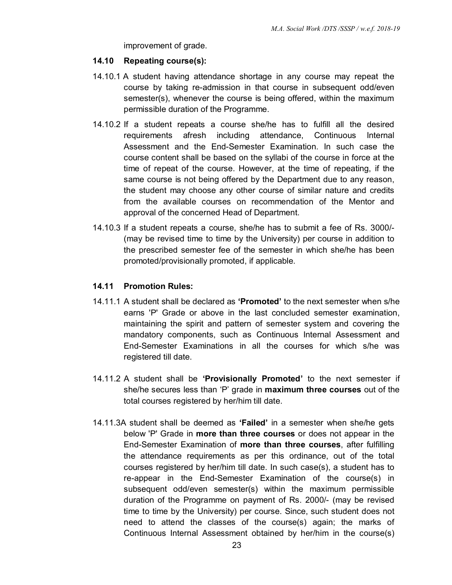improvement of grade.

#### **14.10 Repeating course(s):**

- 14.10.1 A student having attendance shortage in any course may repeat the course by taking re-admission in that course in subsequent odd/even semester(s), whenever the course is being offered, within the maximum permissible duration of the Programme.
- 14.10.2 If a student repeats a course she/he has to fulfill all the desired requirements afresh including attendance, Continuous Internal Assessment and the End-Semester Examination. In such case the course content shall be based on the syllabi of the course in force at the time of repeat of the course. However, at the time of repeating, if the same course is not being offered by the Department due to any reason, the student may choose any other course of similar nature and credits from the available courses on recommendation of the Mentor and approval of the concerned Head of Department.
- 14.10.3 If a student repeats a course, she/he has to submit a fee of Rs. 3000/- (may be revised time to time by the University) per course in addition to the prescribed semester fee of the semester in which she/he has been promoted/provisionally promoted, if applicable.

## **14.11 Promotion Rules:**

- 14.11.1 A student shall be declared as **'Promoted'** to the next semester when s/he earns 'P' Grade or above in the last concluded semester examination, maintaining the spirit and pattern of semester system and covering the mandatory components, such as Continuous Internal Assessment and End-Semester Examinations in all the courses for which s/he was registered till date.
- 14.11.2 A student shall be **'Provisionally Promoted'** to the next semester if she/he secures less than 'P' grade in **maximum three courses** out of the total courses registered by her/him till date.
- 14.11.3A student shall be deemed as **'Failed'** in a semester when she/he gets below 'P' Grade in **more than three courses** or does not appear in the End-Semester Examination of **more than three courses**, after fulfilling the attendance requirements as per this ordinance, out of the total courses registered by her/him till date. In such case(s), a student has to re-appear in the End-Semester Examination of the course(s) in subsequent odd/even semester(s) within the maximum permissible duration of the Programme on payment of Rs. 2000/- (may be revised time to time by the University) per course. Since, such student does not need to attend the classes of the course(s) again; the marks of Continuous Internal Assessment obtained by her/him in the course(s)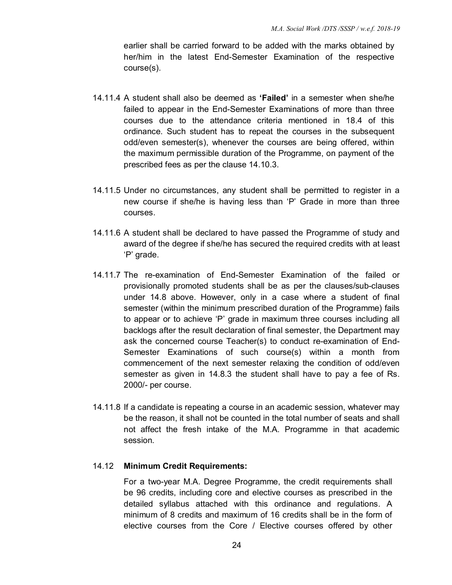earlier shall be carried forward to be added with the marks obtained by her/him in the latest End-Semester Examination of the respective course(s).

- 14.11.4 A student shall also be deemed as **'Failed'** in a semester when she/he failed to appear in the End-Semester Examinations of more than three courses due to the attendance criteria mentioned in 18.4 of this ordinance. Such student has to repeat the courses in the subsequent odd/even semester(s), whenever the courses are being offered, within the maximum permissible duration of the Programme, on payment of the prescribed fees as per the clause 14.10.3.
- 14.11.5 Under no circumstances, any student shall be permitted to register in a new course if she/he is having less than 'P' Grade in more than three courses.
- 14.11.6 A student shall be declared to have passed the Programme of study and award of the degree if she/he has secured the required credits with at least 'P' grade.
- 14.11.7 The re-examination of End-Semester Examination of the failed or provisionally promoted students shall be as per the clauses/sub-clauses under 14.8 above. However, only in a case where a student of final semester (within the minimum prescribed duration of the Programme) fails to appear or to achieve 'P' grade in maximum three courses including all backlogs after the result declaration of final semester, the Department may ask the concerned course Teacher(s) to conduct re-examination of End-Semester Examinations of such course(s) within a month from commencement of the next semester relaxing the condition of odd/even semester as given in 14.8.3 the student shall have to pay a fee of Rs. 2000/- per course.
- 14.11.8 If a candidate is repeating a course in an academic session, whatever may be the reason, it shall not be counted in the total number of seats and shall not affect the fresh intake of the M.A. Programme in that academic session.

#### 14.12 **Minimum Credit Requirements:**

For a two-year M.A. Degree Programme, the credit requirements shall be 96 credits, including core and elective courses as prescribed in the detailed syllabus attached with this ordinance and regulations. A minimum of 8 credits and maximum of 16 credits shall be in the form of elective courses from the Core / Elective courses offered by other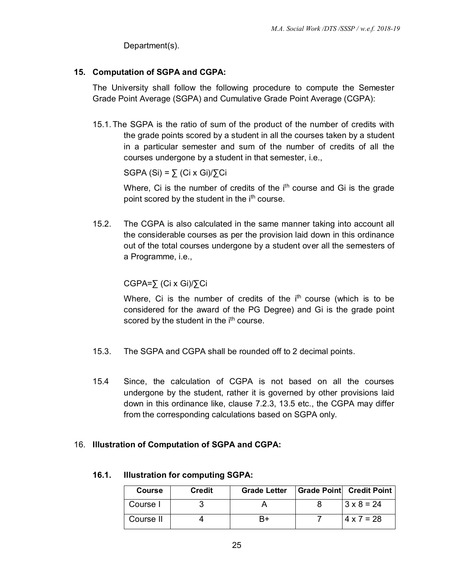Department(s).

## **15. Computation of SGPA and CGPA:**

 The University shall follow the following procedure to compute the Semester Grade Point Average (SGPA) and Cumulative Grade Point Average (CGPA):

15.1.The SGPA is the ratio of sum of the product of the number of credits with the grade points scored by a student in all the courses taken by a student in a particular semester and sum of the number of credits of all the courses undergone by a student in that semester, i.e.,

SGPA (Si) =  $\sum$  (Ci x Gi)/ $\sum$ Ci

Where, Ci is the number of credits of the i<sup>th</sup> course and Gi is the grade point scored by the student in the i<sup>th</sup> course.

15.2. The CGPA is also calculated in the same manner taking into account all the considerable courses as per the provision laid down in this ordinance out of the total courses undergone by a student over all the semesters of a Programme, i.e.,

## CGPA=∑ (Ci x Gi)/∑Ci

Where, Ci is the number of credits of the  $i<sup>th</sup>$  course (which is to be considered for the award of the PG Degree) and Gi is the grade point scored by the student in the i<sup>th</sup> course.

- 15.3. The SGPA and CGPA shall be rounded off to 2 decimal points.
- 15.4 Since, the calculation of CGPA is not based on all the courses undergone by the student, rather it is governed by other provisions laid down in this ordinance like, clause 7.2.3, 13.5 etc., the CGPA may differ from the corresponding calculations based on SGPA only.

## 16. **Illustration of Computation of SGPA and CGPA:**

| <b>Course</b> | <b>Credit</b> | <b>Grade Letter</b> | <b>Grade Point Credit Point</b> |
|---------------|---------------|---------------------|---------------------------------|
| Course I      |               |                     | $3 \times 8 = 24$               |
| Course II     |               |                     | $4 \times 7 = 28$               |

#### **16.1. Illustration for computing SGPA:**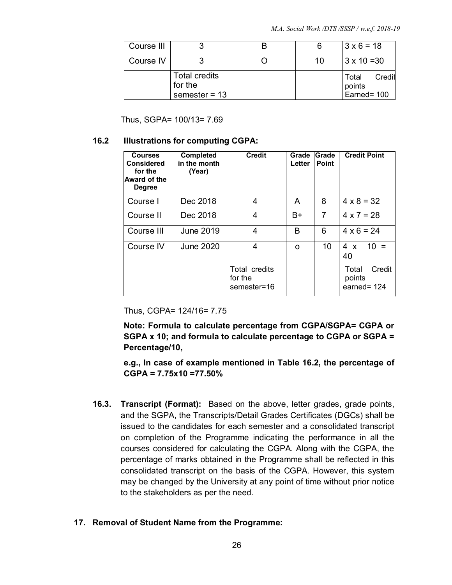| Course III |                                 |    | $3 \times 6 = 18$         |
|------------|---------------------------------|----|---------------------------|
| Course IV  |                                 | 10 | $3 \times 10 = 30$        |
|            | <b>Total credits</b><br>for the |    | Credit<br>Total<br>points |
|            | semester = $131$                |    | Earned= 100               |

Thus, SGPA= 100/13= 7.69

#### **16.2 Illustrations for computing CGPA:**

| <b>Courses</b><br><b>Considered</b><br>for the<br>Award of the<br><b>Degree</b> | <b>Completed</b><br>in the month<br>(Year) | <b>Credit</b>                           | Grade<br>Letter | <b>Grade</b><br><b>Point</b> | <b>Credit Point</b>                      |
|---------------------------------------------------------------------------------|--------------------------------------------|-----------------------------------------|-----------------|------------------------------|------------------------------------------|
| Course I                                                                        | Dec 2018                                   | 4                                       | A               | 8                            | $4 \times 8 = 32$                        |
| Course II                                                                       | Dec 2018                                   | 4                                       | B+              | 7                            | $4 \times 7 = 28$                        |
| Course III                                                                      | June 2019                                  | 4                                       | R               | 6                            | $4 \times 6 = 24$                        |
| Course IV                                                                       | <b>June 2020</b>                           | 4                                       | O               | 10 <sup>°</sup>              | $10 =$<br>4 x<br>40                      |
|                                                                                 |                                            | Total credits<br>for the<br>semester=16 |                 |                              | Credit<br>Total<br>points<br>earned= 124 |

Thus, CGPA= 124/16= 7.75

**Note: Formula to calculate percentage from CGPA/SGPA= CGPA or SGPA x 10; and formula to calculate percentage to CGPA or SGPA = Percentage/10,** 

**e.g., In case of example mentioned in Table 16.2, the percentage of CGPA = 7.75x10 =77.50%** 

- **16.3. Transcript (Format):** Based on the above, letter grades, grade points, and the SGPA, the Transcripts/Detail Grades Certificates (DGCs) shall be issued to the candidates for each semester and a consolidated transcript on completion of the Programme indicating the performance in all the courses considered for calculating the CGPA. Along with the CGPA, the percentage of marks obtained in the Programme shall be reflected in this consolidated transcript on the basis of the CGPA. However, this system may be changed by the University at any point of time without prior notice to the stakeholders as per the need.
- **17. Removal of Student Name from the Programme:**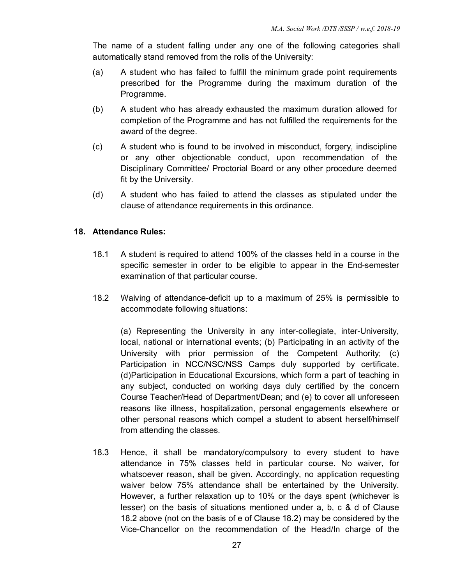The name of a student falling under any one of the following categories shall automatically stand removed from the rolls of the University:

- (a) A student who has failed to fulfill the minimum grade point requirements prescribed for the Programme during the maximum duration of the Programme.
- (b) A student who has already exhausted the maximum duration allowed for completion of the Programme and has not fulfilled the requirements for the award of the degree.
- (c) A student who is found to be involved in misconduct, forgery, indiscipline or any other objectionable conduct, upon recommendation of the Disciplinary Committee/ Proctorial Board or any other procedure deemed fit by the University.
- (d) A student who has failed to attend the classes as stipulated under the clause of attendance requirements in this ordinance.

## **18. Attendance Rules:**

- 18.1 A student is required to attend 100% of the classes held in a course in the specific semester in order to be eligible to appear in the End-semester examination of that particular course.
- 18.2 Waiving of attendance-deficit up to a maximum of 25% is permissible to accommodate following situations:

(a) Representing the University in any inter-collegiate, inter-University, local, national or international events; (b) Participating in an activity of the University with prior permission of the Competent Authority; (c) Participation in NCC/NSC/NSS Camps duly supported by certificate. (d)Participation in Educational Excursions, which form a part of teaching in any subject, conducted on working days duly certified by the concern Course Teacher/Head of Department/Dean; and (e) to cover all unforeseen reasons like illness, hospitalization, personal engagements elsewhere or other personal reasons which compel a student to absent herself/himself from attending the classes.

18.3 Hence, it shall be mandatory/compulsory to every student to have attendance in 75% classes held in particular course. No waiver, for whatsoever reason, shall be given. Accordingly, no application requesting waiver below 75% attendance shall be entertained by the University. However, a further relaxation up to 10% or the days spent (whichever is lesser) on the basis of situations mentioned under a, b, c & d of Clause 18.2 above (not on the basis of e of Clause 18.2) may be considered by the Vice-Chancellor on the recommendation of the Head/In charge of the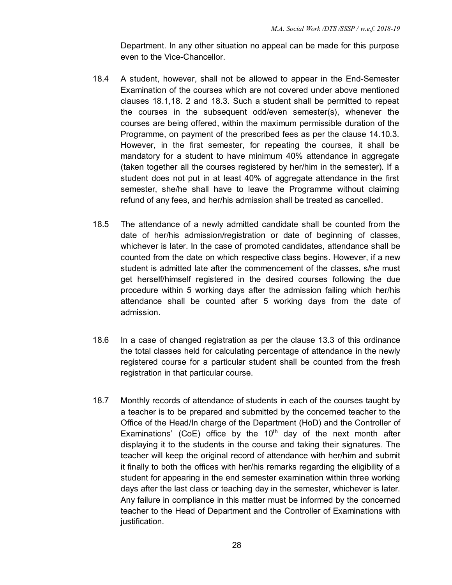Department. In any other situation no appeal can be made for this purpose even to the Vice-Chancellor.

- 18.4 A student, however, shall not be allowed to appear in the End-Semester Examination of the courses which are not covered under above mentioned clauses 18.1,18. 2 and 18.3. Such a student shall be permitted to repeat the courses in the subsequent odd/even semester(s), whenever the courses are being offered, within the maximum permissible duration of the Programme, on payment of the prescribed fees as per the clause 14.10.3. However, in the first semester, for repeating the courses, it shall be mandatory for a student to have minimum 40% attendance in aggregate (taken together all the courses registered by her/him in the semester). If a student does not put in at least 40% of aggregate attendance in the first semester, she/he shall have to leave the Programme without claiming refund of any fees, and her/his admission shall be treated as cancelled.
- 18.5 The attendance of a newly admitted candidate shall be counted from the date of her/his admission/registration or date of beginning of classes, whichever is later. In the case of promoted candidates, attendance shall be counted from the date on which respective class begins. However, if a new student is admitted late after the commencement of the classes, s/he must get herself/himself registered in the desired courses following the due procedure within 5 working days after the admission failing which her/his attendance shall be counted after 5 working days from the date of admission.
- 18.6 In a case of changed registration as per the clause 13.3 of this ordinance the total classes held for calculating percentage of attendance in the newly registered course for a particular student shall be counted from the fresh registration in that particular course.
- 18.7 Monthly records of attendance of students in each of the courses taught by a teacher is to be prepared and submitted by the concerned teacher to the Office of the Head/In charge of the Department (HoD) and the Controller of Examinations' (CoE) office by the  $10<sup>th</sup>$  day of the next month after displaying it to the students in the course and taking their signatures. The teacher will keep the original record of attendance with her/him and submit it finally to both the offices with her/his remarks regarding the eligibility of a student for appearing in the end semester examination within three working days after the last class or teaching day in the semester, whichever is later. Any failure in compliance in this matter must be informed by the concerned teacher to the Head of Department and the Controller of Examinations with justification.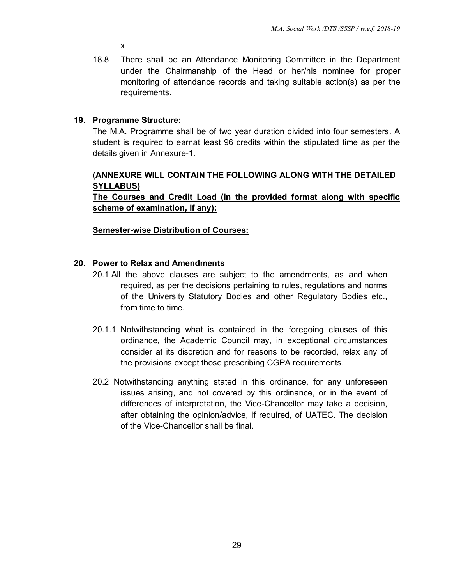x

18.8 There shall be an Attendance Monitoring Committee in the Department under the Chairmanship of the Head or her/his nominee for proper monitoring of attendance records and taking suitable action(s) as per the requirements.

#### **19. Programme Structure:**

The M.A. Programme shall be of two year duration divided into four semesters. A student is required to earnat least 96 credits within the stipulated time as per the details given in Annexure-1.

## **(ANNEXURE WILL CONTAIN THE FOLLOWING ALONG WITH THE DETAILED SYLLABUS)**

**The Courses and Credit Load (In the provided format along with specific scheme of examination, if any):** 

## **Semester-wise Distribution of Courses:**

## **20. Power to Relax and Amendments**

- 20.1 All the above clauses are subject to the amendments, as and when required, as per the decisions pertaining to rules, regulations and norms of the University Statutory Bodies and other Regulatory Bodies etc., from time to time.
- 20.1.1 Notwithstanding what is contained in the foregoing clauses of this ordinance, the Academic Council may, in exceptional circumstances consider at its discretion and for reasons to be recorded, relax any of the provisions except those prescribing CGPA requirements.
- 20.2 Notwithstanding anything stated in this ordinance, for any unforeseen issues arising, and not covered by this ordinance, or in the event of differences of interpretation, the Vice-Chancellor may take a decision, after obtaining the opinion/advice, if required, of UATEC. The decision of the Vice-Chancellor shall be final.